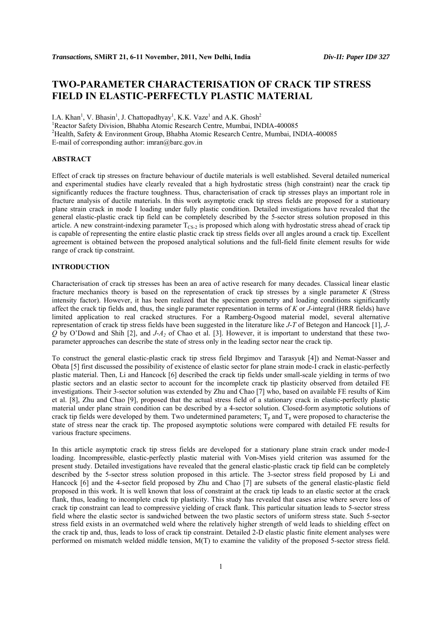# **TWO-PARAMETER CHARACTERISATION OF CRACK TIP STRESS FIELD IN ELASTIC-PERFECTLY PLASTIC MATERIAL**

I.A. Khan<sup>1</sup>, V. Bhasin<sup>1</sup>, J. Chattopadhyay<sup>1</sup>, K.K. Vaze<sup>1</sup> and A.K. Ghosh<sup>2</sup> <sup>1</sup> Reactor Safety Division, Bhabha Atomic Research Centre, Mumbai, INDIA-400085 2 Health, Safety & Environment Group, Bhabha Atomic Research Centre, Mumbai, INDIA-400085 E-mail of corresponding author: imran@barc.gov.in

# **ABSTRACT**

Effect of crack tip stresses on fracture behaviour of ductile materials is well established. Several detailed numerical and experimental studies have clearly revealed that a high hydrostatic stress (high constraint) near the crack tip significantly reduces the fracture toughness. Thus, characterisation of crack tip stresses plays an important role in fracture analysis of ductile materials. In this work asymptotic crack tip stress fields are proposed for a stationary plane strain crack in mode I loading under fully plastic condition. Detailed investigations have revealed that the general elastic-plastic crack tip field can be completely described by the 5-sector stress solution proposed in this article. A new constraint-indexing parameter  $T_{CS-2}$  is proposed which along with hydrostatic stress ahead of crack tip is capable of representing the entire elastic plastic crack tip stress fields over all angles around a crack tip. Excellent agreement is obtained between the proposed analytical solutions and the full-field finite element results for wide range of crack tip constraint.

# **INTRODUCTION**

Characterisation of crack tip stresses has been an area of active research for many decades. Classical linear elastic fracture mechanics theory is based on the representation of crack tip stresses by a single parameter *K* (Stress intensity factor). However, it has been realized that the specimen geometry and loading conditions significantly affect the crack tip fields and, thus, the single parameter representation in terms of *K* or *J*-integral (HRR fields) have limited application to real cracked structures. For a Ramberg-Osgood material model, several alternative representation of crack tip stress fields have been suggested in the literature like *J*-*T* of Betegon and Hancock [1], *J-Q* by O'Dowd and Shih [2], and *J*-*A2* of Chao et al. [3]. However, it is important to understand that these twoparameter approaches can describe the state of stress only in the leading sector near the crack tip.

To construct the general elastic-plastic crack tip stress field Ibrgimov and Tarasyuk [4]) and Nemat-Nasser and Obata [5] first discussed the possibility of existence of elastic sector for plane strain mode-I crack in elastic-perfectly plastic material. Then, Li and Hancock [6] described the crack tip fields under small-scale yielding in terms of two plastic sectors and an elastic sector to account for the incomplete crack tip plasticity observed from detailed FE investigations. Their 3-sector solution was extended by Zhu and Chao [7] who, based on available FE results of Kim et al. [8], Zhu and Chao [9], proposed that the actual stress field of a stationary crack in elastic-perfectly plastic material under plane strain condition can be described by a 4-sector solution. Closed-form asymptotic solutions of crack tip fields were developed by them. Two undetermined parameters;  $T_p$  and  $T_\pi$  were proposed to characterise the state of stress near the crack tip. The proposed asymptotic solutions were compared with detailed FE results for various fracture specimens.

In this article asymptotic crack tip stress fields are developed for a stationary plane strain crack under mode-I loading. Incompressible, elastic-perfectly plastic material with Von-Mises yield criterion was assumed for the present study. Detailed investigations have revealed that the general elastic-plastic crack tip field can be completely described by the 5-sector stress solution proposed in this article. The 3-sector stress field proposed by Li and Hancock [6] and the 4-sector field proposed by Zhu and Chao [7] are subsets of the general elastic-plastic field proposed in this work. It is well known that loss of constraint at the crack tip leads to an elastic sector at the crack flank, thus, leading to incomplete crack tip plasticity. This study has revealed that cases arise where severe loss of crack tip constraint can lead to compressive yielding of crack flank. This particular situation leads to 5-sector stress field where the elastic sector is sandwiched between the two plastic sectors of uniform stress state. Such 5-sector stress field exists in an overmatched weld where the relatively higher strength of weld leads to shielding effect on the crack tip and, thus, leads to loss of crack tip constraint. Detailed 2-D elastic plastic finite element analyses were performed on mismatch welded middle tension, M(T) to examine the validity of the proposed 5-sector stress field.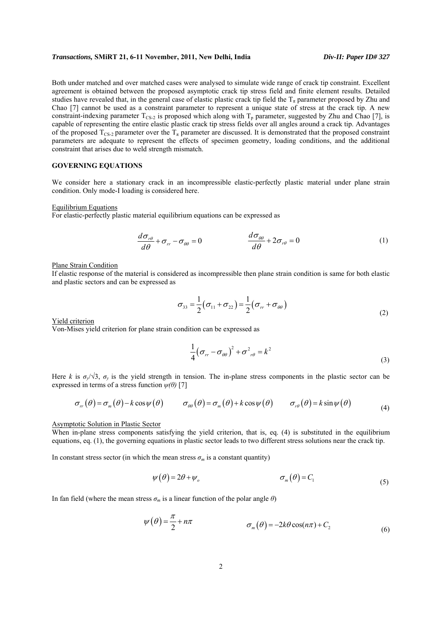Both under matched and over matched cases were analysed to simulate wide range of crack tip constraint. Excellent agreement is obtained between the proposed asymptotic crack tip stress field and finite element results. Detailed studies have revealed that, in the general case of elastic plastic crack tip field the  $T_{\pi}$  parameter proposed by Zhu and Chao [7] cannot be used as a constraint parameter to represent a unique state of stress at the crack tip. A new constraint-indexing parameter  $T_{CS-2}$  is proposed which along with  $T_p$  parameter, suggested by Zhu and Chao [7], is capable of representing the entire elastic plastic crack tip stress fields over all angles around a crack tip. Advantages of the proposed  $T_{CS-2}$  parameter over the  $T_{\pi}$  parameter are discussed. It is demonstrated that the proposed constraint parameters are adequate to represent the effects of specimen geometry, loading conditions, and the additional constraint that arises due to weld strength mismatch.

# **GOVERNING EQUATIONS**

We consider here a stationary crack in an incompressible elastic-perfectly plastic material under plane strain condition. Only mode-I loading is considered here.

Equilibrium Equations

For elastic-perfectly plastic material equilibrium equations can be expressed as

$$
\frac{d\sigma_{r\theta}}{d\theta} + \sigma_{rr} - \sigma_{\theta\theta} = 0 \qquad \qquad \frac{d\sigma_{\theta\theta}}{d\theta} + 2\sigma_{r\theta} = 0 \qquad (1)
$$

#### Plane Strain Condition

If elastic response of the material is considered as incompressible then plane strain condition is same for both elastic and plastic sectors and can be expressed as

$$
\sigma_{33} = \frac{1}{2} (\sigma_{11} + \sigma_{22}) = \frac{1}{2} (\sigma_{rr} + \sigma_{\theta\theta})
$$
\n(2)

Yield criterion

Von-Mises yield criterion for plane strain condition can be expressed as

$$
\frac{1}{4}(\sigma_{rr} - \sigma_{\theta\theta})^2 + \sigma_{r\theta}^2 = k^2
$$
\n(3)

Here *k* is  $\sigma_y/\sqrt{3}$ ,  $\sigma_y$  is the yield strength in tension. The in-plane stress components in the plastic sector can be expressed in terms of a stress function  $\psi(\theta)$  [7]

$$
\sigma_{rr}(\theta) = \sigma_m(\theta) - k \cos \psi(\theta) \qquad \sigma_{\theta\theta}(\theta) = \sigma_m(\theta) + k \cos \psi(\theta) \qquad \sigma_{r\theta}(\theta) = k \sin \psi(\theta) \tag{4}
$$

#### Asymptotic Solution in Plastic Sector

When in-plane stress components satisfying the yield criterion, that is, eq. (4) is substituted in the equilibrium equations, eq. (1), the governing equations in plastic sector leads to two different stress solutions near the crack tip.

In constant stress sector (in which the mean stress  $\sigma_m$  is a constant quantity)

$$
\psi(\theta) = 2\theta + \psi_o \qquad \sigma_m(\theta) = C_1 \tag{5}
$$

In fan field (where the mean stress  $\sigma_m$  is a linear function of the polar angle  $\theta$ )

$$
\psi(\theta) = \frac{\pi}{2} + n\pi \qquad \sigma_m(\theta) = -2k\theta\cos(n\pi) + C_2 \tag{6}
$$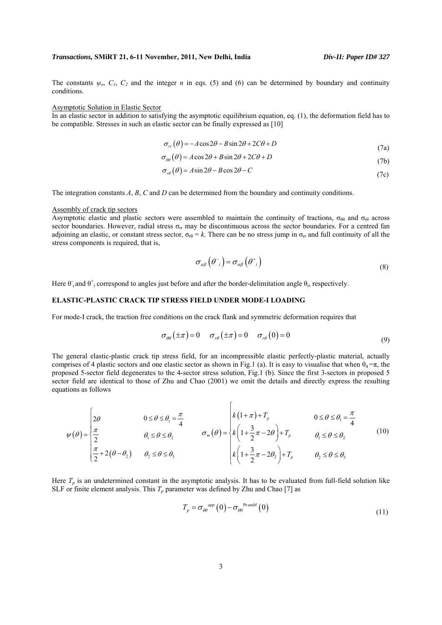The constants  $\psi$ <sup>o</sup>,  $C_1$ ,  $C_2$  and the integer *n* in eqs. (5) and (6) can be determined by boundary and continuity conditions.

#### Asymptotic Solution in Elastic Sector

In an elastic sector in addition to satisfying the asymptotic equilibrium equation, eq. (1), the deformation field has to be compatible. Stresses in such an elastic sector can be finally expressed as [10]

$$
\sigma_{rr}(\theta) = -A\cos 2\theta - B\sin 2\theta + 2C\theta + D\tag{7a}
$$

$$
\sigma_{\theta\theta}(\theta) = A\cos 2\theta + B\sin 2\theta + 2C\theta + D\tag{7b}
$$

$$
\sigma_{r\theta}(\theta) = A\sin 2\theta - B\cos 2\theta - C\tag{7c}
$$

The integration constants *A*, *B*, *C* and *D* can be determined from the boundary and continuity conditions.

### Assembly of crack tip sectors

Asymptotic elastic and plastic sectors were assembled to maintain the continuity of tractions,  $\sigma_{\theta\theta}$  and  $\sigma_{\text{rf}}$  across sector boundaries. However, radial stress  $\sigma_{rr}$  may be discontinuous across the sector boundaries. For a centred fan adjoining an elastic, or constant stress sector,  $\sigma_{\text{r}} = k$ . There can be no stress jump in  $\sigma_{\text{r}}$  and full continuity of all the stress components is required, that is,

$$
\sigma_{\alpha\beta}\left(\theta_{i}^{+}\right) = \sigma_{\alpha\beta}\left(\theta_{i}^{+}\right) \tag{8}
$$

Here  $\theta_i$  and  $\theta_i$  correspond to angles just before and after the border-delimitation angle  $\theta_i$ , respectively.

# **ELASTIC-PLASTIC CRACK TIP STRESS FIELD UNDER MODE-I LOADING**

For mode-I crack, the traction free conditions on the crack flank and symmetric deformation requires that

$$
\sigma_{\theta\theta}(\pm\pi) = 0 \qquad \sigma_{r\theta}(\pm\pi) = 0 \qquad \sigma_{r\theta}(0) = 0 \tag{9}
$$

The general elastic-plastic crack tip stress field, for an incompressible elastic perfectly-plastic material, actually comprises of 4 plastic sectors and one elastic sector as shown in Fig.1 (a). It is easy to visualise that when  $\theta_4 = \pi$ , the proposed 5-sector field degenerates to the 4-sector stress solution, Fig.1 (b). Since the first 3-sectors in proposed 5 sector field are identical to those of Zhu and Chao (2001) we omit the details and directly express the resulting equations as follows

$$
\psi(\theta) = \begin{cases} 2\theta & 0 \le \theta \le \theta_1 = \frac{\pi}{4} \\ \frac{\pi}{2} & \theta_1 \le \theta \le \theta_2 \\ \frac{\pi}{2} + 2(\theta - \theta_2) & \theta_2 \le \theta \le \theta_3 \end{cases} \qquad \sigma_m(\theta) = \begin{cases} k(1+\pi) + T_p & 0 \le \theta \le \theta_1 = \frac{\pi}{4} \\ k\left(1 + \frac{3}{2}\pi - 2\theta\right) + T_p & \theta_1 \le \theta \le \theta_2 \\ k\left(1 + \frac{3}{2}\pi - 2\theta_2\right) + T_p & \theta_2 \le \theta \le \theta_3 \end{cases} \tag{10}
$$

 $\epsilon$ 

Here  $T_p$  is an undetermined constant in the asymptotic analysis. It has to be evaluated from full-field solution like SLF or finite element analysis. This  $T_p$  parameter was defined by Zhu and Chao [7] as

$$
T_{p} = \sigma_{\theta\theta}^{app} (0) - \sigma_{\theta\theta}^{Prandil} (0)
$$
\n(11)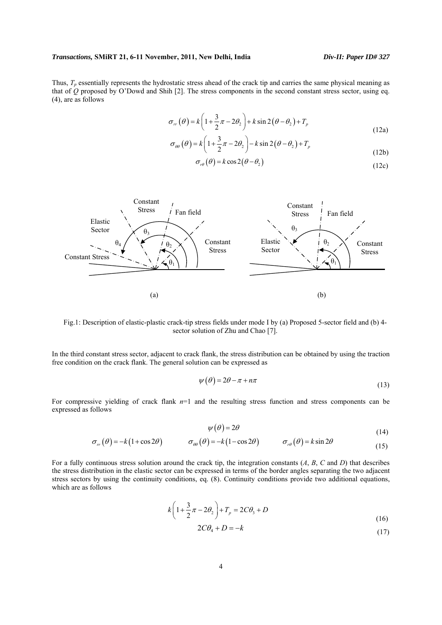Thus,  $T_p$  essentially represents the hydrostatic stress ahead of the crack tip and carries the same physical meaning as that of *Q* proposed by O'Dowd and Shih [2]. The stress components in the second constant stress sector, using eq. (4), are as follows

$$
\sigma_{rr}(\theta) = k \left( 1 + \frac{3}{2}\pi - 2\theta_2 \right) + k \sin 2(\theta - \theta_2) + T_p \tag{12a}
$$

$$
\sigma_{\theta\theta}(\theta) = k \left( 1 + \frac{3}{2}\pi - 2\theta_2 \right) - k \sin 2(\theta - \theta_2) + T_p \tag{12b}
$$

$$
\sigma_{r\theta}(\theta) = k \cos 2(\theta - \theta_2) \tag{12c}
$$



Fig.1: Description of elastic-plastic crack-tip stress fields under mode I by (a) Proposed 5-sector field and (b) 4 sector solution of Zhu and Chao [7].

In the third constant stress sector, adjacent to crack flank, the stress distribution can be obtained by using the traction free condition on the crack flank. The general solution can be expressed as

$$
\psi(\theta) = 2\theta - \pi + n\pi \tag{13}
$$

For compressive yielding of crack flank  $n=1$  and the resulting stress function and stress components can be expressed as follows

$$
\psi(\theta) = 2\theta \tag{14}
$$

$$
\sigma_{rr}(\theta) = -k(1+\cos 2\theta) \qquad \sigma_{\theta\theta}(\theta) = -k(1-\cos 2\theta) \qquad \sigma_{r\theta}(\theta) = k\sin 2\theta \qquad (15)
$$

For a fully continuous stress solution around the crack tip, the integration constants (*A*, *B*, *C* and *D*) that describes the stress distribution in the elastic sector can be expressed in terms of the border angles separating the two adjacent stress sectors by using the continuity conditions, eq. (8). Continuity conditions provide two additional equations, which are as follows

$$
k\left(1+\frac{3}{2}\pi-2\theta_{2}\right)+T_{p}=2C\theta_{3}+D
$$
\n(16)

$$
2C\theta_4 + D = -k\tag{17}
$$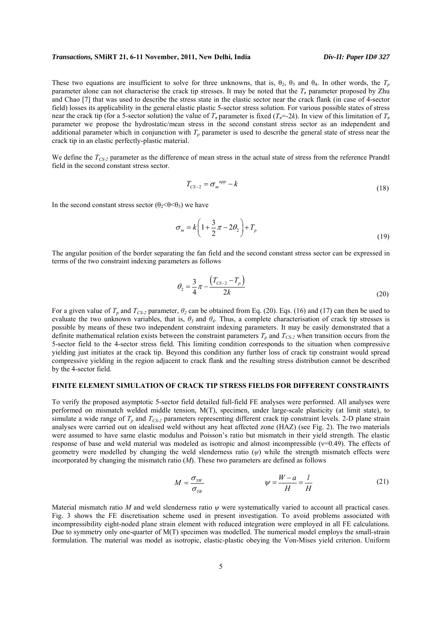These two equations are insufficient to solve for three unknowns, that is,  $\theta_2$ ,  $\theta_3$  and  $\theta_4$ . In other words, the  $T_p$ parameter alone can not characterise the crack tip stresses. It may be noted that the  $T_{\pi}$  parameter proposed by Zhu and Chao [7] that was used to describe the stress state in the elastic sector near the crack flank (in case of 4-sector field) losses its applicability in the general elastic plastic 5-sector stress solution. For various possible states of stress near the crack tip (for a 5-sector solution) the value of  $T_{\pi}$  parameter is fixed ( $T_{\pi}$ =-2*k*). In view of this limitation of  $T_{\pi}$ parameter we propose the hydrostatic/mean stress in the second constant stress sector as an independent and additional parameter which in conjunction with  $T_p$  parameter is used to describe the general state of stress near the crack tip in an elastic perfectly-plastic material.

We define the  $T_{CS-2}$  parameter as the difference of mean stress in the actual state of stress from the reference Prandtl field in the second constant stress sector.

$$
T_{CS-2} = \sigma_m^{app} - k \tag{18}
$$

In the second constant stress sector ( $\theta_2 < \theta < \theta_3$ ) we have

$$
\sigma_m = k \left( 1 + \frac{3}{2} \pi - 2\theta_2 \right) + T_p \tag{19}
$$

The angular position of the border separating the fan field and the second constant stress sector can be expressed in terms of the two constraint indexing parameters as follows

$$
\theta_2 = \frac{3}{4}\pi - \frac{\left(T_{CS-2} - T_p\right)}{2k} \tag{20}
$$

For a given value of  $T_p$  and  $T_{CS-2}$  parameter,  $\theta_2$  can be obtained from Eq. (20). Eqs. (16) and (17) can then be used to evaluate the two unknown variables, that is,  $\theta_3$  and  $\theta_4$ . Thus, a complete characterisation of crack tip stresses is possible by means of these two independent constraint indexing parameters. It may be easily demonstrated that a definite mathematical relation exists between the constraint parameters  $T_p$  and  $T_{CS-2}$  when transition occurs from the 5-sector field to the 4-sector stress field. This limiting condition corresponds to the situation when compressive yielding just initiates at the crack tip. Beyond this condition any further loss of crack tip constraint would spread compressive yielding in the region adjacent to crack flank and the resulting stress distribution cannot be described by the 4-sector field.

# **FINITE ELEMENT SIMULATION OF CRACK TIP STRESS FIELDS FOR DIFFERENT CONSTRAINTS**

To verify the proposed asymptotic 5-sector field detailed full-field FE analyses were performed. All analyses were performed on mismatch welded middle tension, M(T), specimen, under large-scale plasticity (at limit state), to simulate a wide range of  $T_p$  and  $T_{CS-2}$  parameters representing different crack tip constraint levels. 2-D plane strain analyses were carried out on idealised weld without any heat affected zone (HAZ) (see Fig. 2). The two materials were assumed to have same elastic modulus and Poisson's ratio but mismatch in their yield strength. The elastic response of base and weld material was modeled as isotropic and almost incompressible (ν=0.49). The effects of geometry were modelled by changing the weld slenderness ratio (*ψ*) while the strength mismatch effects were incorporated by changing the mismatch ratio (*M*). These two parameters are defined as follows

$$
M = \frac{\sigma_{YW}}{\sigma_{YB}} \qquad \psi = \frac{W - a}{H} = \frac{l}{H} \tag{21}
$$

Material mismatch ratio *M* and weld slenderness ratio *ψ* were systematically varied to account all practical cases. Fig. 3 shows the FE discretisation scheme used in present investigation. To avoid problems associated with incompressibility eight-noded plane strain element with reduced integration were employed in all FE calculations. Due to symmetry only one-quarter of M(T) specimen was modelled. The numerical model employs the small-strain formulation. The material was model as isotropic, elastic-plastic obeying the Von-Mises yield criterion. Uniform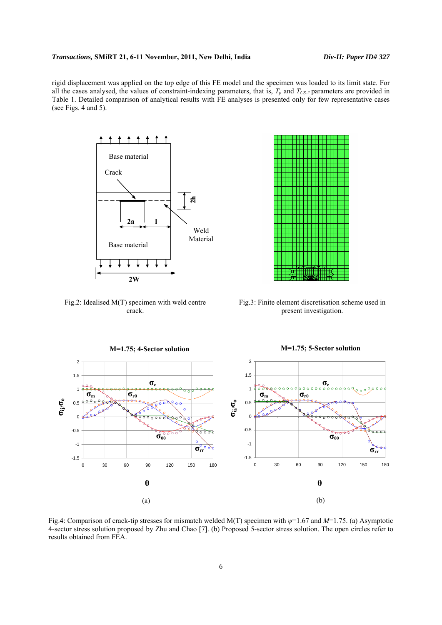rigid displacement was applied on the top edge of this FE model and the specimen was loaded to its limit state. For all the cases analysed, the values of constraint-indexing parameters, that is,  $T_p$  and  $T_{CS-2}$  parameters are provided in Table 1. Detailed comparison of analytical results with FE analyses is presented only for few representative cases (see Figs. 4 and 5).



Fig.2: Idealised M(T) specimen with weld centre crack.



Fig.3: Finite element discretisation scheme used in present investigation.



Fig.4: Comparison of crack-tip stresses for mismatch welded M(T) specimen with *ψ*=1.67 and *M*=1.75. (a) Asymptotic 4-sector stress solution proposed by Zhu and Chao [7]. (b) Proposed 5-sector stress solution. The open circles refer to results obtained from FEA.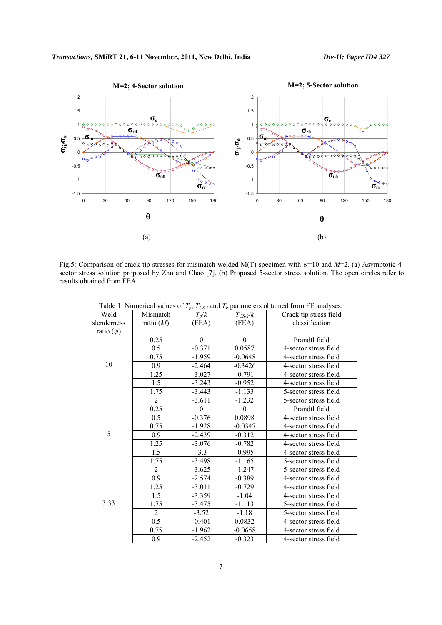

Fig.5: Comparison of crack-tip stresses for mismatch welded M(T) specimen with *ψ*=10 and *M*=2. (a) Asymptotic 4 sector stress solution proposed by Zhu and Chao [7]. (b) Proposed 5-sector stress solution. The open circles refer to results obtained from FEA.

| Weld           | Mismatch         | $T_p/k$          | $T_{CS-2}/k$     | Crack tip stress field |
|----------------|------------------|------------------|------------------|------------------------|
| slenderness    | ratio $(M)$      | (FEA)            | (FEA)            | classification         |
| ratio $(\psi)$ |                  |                  |                  |                        |
|                | 0.25             | $\theta$         | $\theta$         | Prandtl field          |
|                | 0.5              | $-0.371$         | 0.0587           | 4-sector stress field  |
|                |                  |                  |                  |                        |
|                | 0.75             | $-1.959$         | $-0.0648$        | 4-sector stress field  |
| 10             | 0.9              | $-2.464$         | $-0.3426$        | 4-sector stress field  |
|                | 1.25             | $-3.027$         | $-0.791$         | 4-sector stress field  |
|                | 1.5              | $-3.243$         | $-0.952$         | 4-sector stress field  |
|                | 1.75             | $-3.443$         | $-1.133$         | 5-sector stress field  |
|                | $\overline{2}$   | $-3.611$         | $-1.232$         | 5-sector stress field  |
|                | 0.25             | $\boldsymbol{0}$ | $\boldsymbol{0}$ | Prandtl field          |
|                | 0.5              | $-0.376$         | 0.0898           | 4-sector stress field  |
|                | 0.75             | $-1.928$         | $-0.0347$        | 4-sector stress field  |
| 5              | 0.9              | $-2.439$         | $-0.312$         | 4-sector stress field  |
|                | 1.25             | $-3.076$         | $-0.782$         | 4-sector stress field  |
|                | 1.5              | $-3.3$           | $-0.995$         | 4-sector stress field  |
|                | 1.75             | $-3.498$         | $-1.165$         | 5-sector stress field  |
|                | $\overline{2}$   | $-3.625$         | $-1.247$         | 5-sector stress field  |
|                | $\overline{0.9}$ | $-2.574$         | $-0.389$         | 4-sector stress field  |
|                | 1.25             | $-3.011$         | $-0.729$         | 4-sector stress field  |
|                | 1.5              | $-3.359$         | $-1.04$          | 4-sector stress field  |
| 3.33           | 1.75             | $-3.475$         | $-1.113$         | 5-sector stress field  |
|                | $\overline{2}$   | $-3.52$          | $-1.18$          | 5-sector stress field  |
|                | $\overline{0.5}$ | $-0.401$         | 0.0832           | 4-sector stress field  |
|                | 0.75             | $-1.962$         | $-0.0658$        | 4-sector stress field  |
|                | 0.9              | $-2.452$         | $-0.323$         | 4-sector stress field  |

Table 1: Numerical values of  $T_p$ ,  $T_{CS-2}$  and  $T_\pi$  parameters obtained from FE analyses.